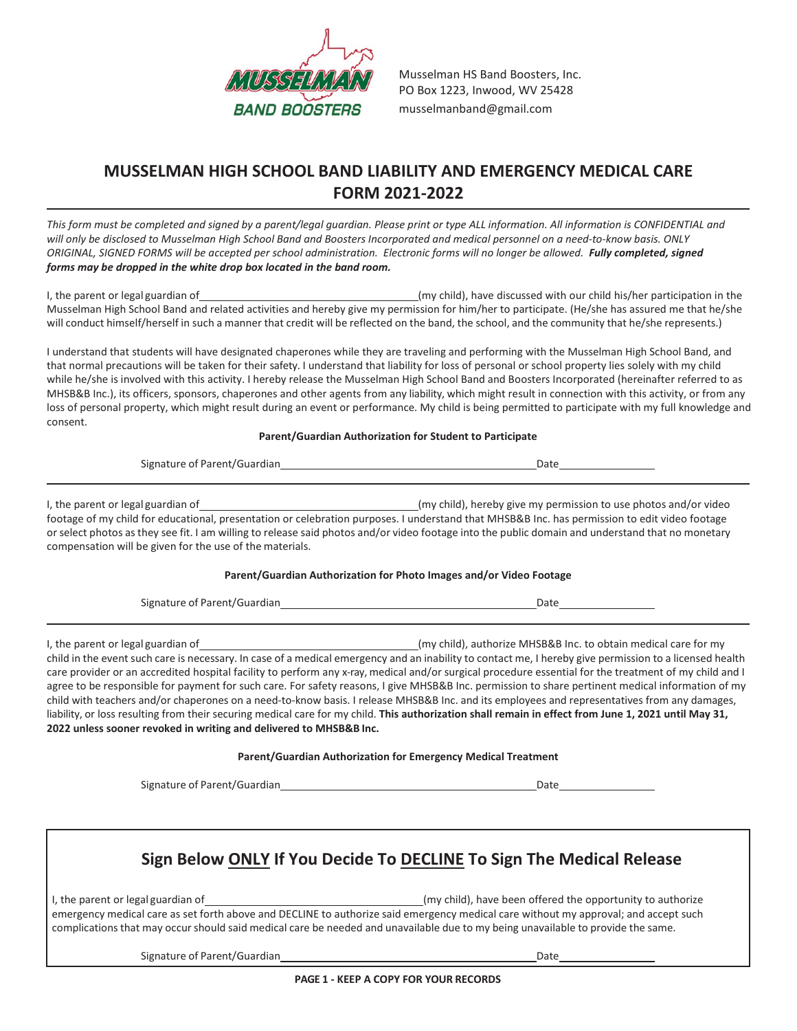

Musselman HS Band Boosters, Inc. PO Box 1223, Inwood, WV 25428 [musselmanband@gmail.com](mailto:musselmanband@gmail.com)

### **MUSSELMAN HIGH SCHOOL BAND LIABILITY AND EMERGENCY MEDICAL CARE FORM 2021-2022**

*This form must be completed and signed by a parent/legal guardian. Please print or type ALL information. All information is CONFIDENTIAL and will only be disclosed to Musselman High School Band and Boosters Incorporated and medical personnel on a need-to-know basis. ONLY ORIGINAL, SIGNED FORMS will be accepted per school administration. Electronic forms will no longer be allowed. Fully completed, signed forms may be dropped in the white drop box located in the band room.*

I, the parent or legal guardian of the the child have discussed with our child his/her participation in the li Musselman High School Band and related activities and hereby give my permission for him/her to participate. (He/she has assured me that he/she will conduct himself/herself in such a manner that credit will be reflected on the band, the school, and the community that he/she represents.)

I understand that students will have designated chaperones while they are traveling and performing with the Musselman High School Band, and that normal precautions will be taken for their safety. I understand that liability for loss of personal or school property lies solely with my child while he/she is involved with this activity. I hereby release the Musselman High School Band and Boosters Incorporated (hereinafter referred to as MHSB&B Inc.), its officers, sponsors, chaperones and other agents from any liability, which might result in connection with this activity, or from any loss of personal property, which might result during an event or performance. My child is being permitted to participate with my full knowledge and consent.

#### **Parent/Guardian Authorization for Student to Participate**

| Signature of Parent/Guardian                                                                   | Date                                                                                                                                                                                                                                                                                                                                                                   |
|------------------------------------------------------------------------------------------------|------------------------------------------------------------------------------------------------------------------------------------------------------------------------------------------------------------------------------------------------------------------------------------------------------------------------------------------------------------------------|
| I, the parent or legal guardian of<br>compensation will be given for the use of the materials. | (my child), hereby give my permission to use photos and/or video<br>footage of my child for educational, presentation or celebration purposes. I understand that MHSB&B Inc. has permission to edit video footage<br>or select photos as they see fit. I am willing to release said photos and/or video footage into the public domain and understand that no monetary |

#### **Parent/Guardian Authorization for Photo Images and/or Video Footage**

| Signature of Parent/Guardian | Date |
|------------------------------|------|
|                              |      |

I, the parent or legal guardian of equation to the state of the child of the parent or legal guardian of the parent or legal guardian of the parent or legal guardian of the parent or legal guardian of the parent of the par child in the event such care is necessary. In case of a medical emergency and an inability to contact me, I hereby give permission to a licensed health care provider or an accredited hospital facility to perform any x-ray, medical and/or surgical procedure essential for the treatment of my child and I agree to be responsible for payment for such care. For safety reasons, I give MHSB&B Inc. permission to share pertinent medical information of my child with teachers and/or chaperones on a need-to-know basis. I release MHSB&B Inc. and its employees and representatives from any damages, liability, or loss resulting from their securing medical care for my child. **This authorization shall remain in effect from June 1, 2021 until May 31, 2022 unless sooner revoked in writing and delivered to MHSB&B Inc.**

#### **Parent/Guardian Authorization for Emergency Medical Treatment**

Signature of Parent/Guardian Date by the Contract of Parents of Parents of Parents of Parents of Parents of Par

# **Sign Below ONLY If You Decide To DECLINE To Sign The Medical Release**

I, the parent or legal guardian of equation of the matrix of the opportunity to authorize emergency medical care as set forth above and DECLINE to authorize said emergency medical care without my approval; and accept such complications that may occur should said medical care be needed and unavailable due to my being unavailable to provide the same.

Signature of Parent/Guardian Date Date of Parent/Guardian Date Date Date Date Date Date